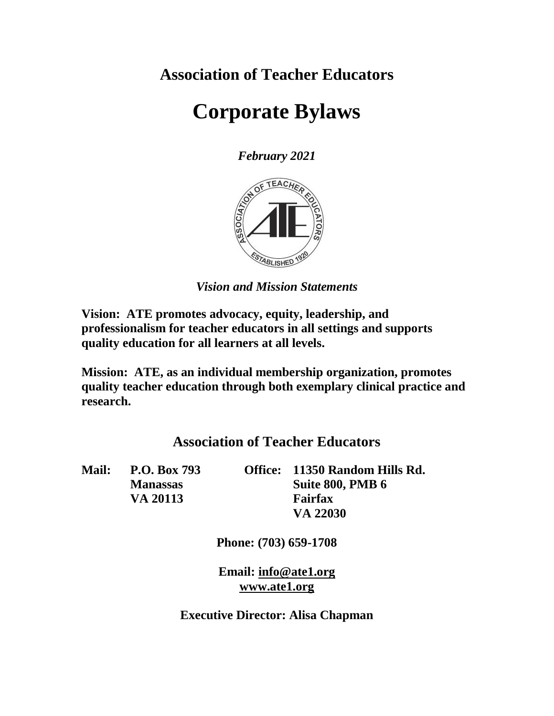**Association of Teacher Educators**

# **Corporate Bylaws**

*February 2021*



*Vision and Mission Statements*

**Vision: ATE promotes advocacy, equity, leadership, and professionalism for teacher educators in all settings and supports quality education for all learners at all levels.**

**Mission: ATE, as an individual membership organization, promotes quality teacher education through both exemplary clinical practice and research.**

## **Association of Teacher Educators**

**Mail: P.O. Box 793 Office: 11350 Random Hills Rd. Manassas Suite 800, PMB 6 VA 20113 Fairfax VA 22030**

**Phone: (703) 659-1708**

**Email: [info@ate1.org](mailto:info@ate1.org) [www.ate1.org](http://www.ate1.org/)**

**Executive Director: Alisa Chapman**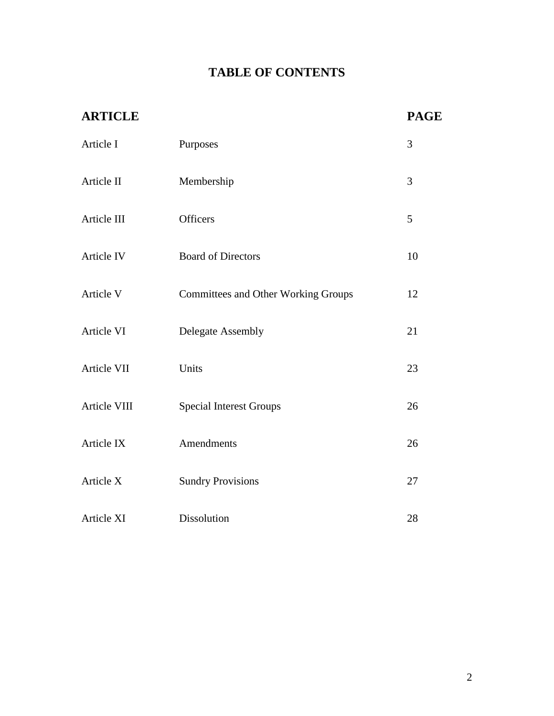## **TABLE OF CONTENTS**

| <b>ARTICLE</b> |                                            | <b>PAGE</b> |
|----------------|--------------------------------------------|-------------|
| Article I      | Purposes                                   | 3           |
| Article II     | Membership                                 | 3           |
| Article III    | Officers                                   | 5           |
| Article IV     | <b>Board of Directors</b>                  | 10          |
| Article V      | <b>Committees and Other Working Groups</b> | 12          |
| Article VI     | <b>Delegate Assembly</b>                   | 21          |
| Article VII    | Units                                      | 23          |
| Article VIII   | <b>Special Interest Groups</b>             | 26          |
| Article IX     | Amendments                                 | 26          |
| Article X      | <b>Sundry Provisions</b>                   | 27          |
| Article XI     | Dissolution                                | 28          |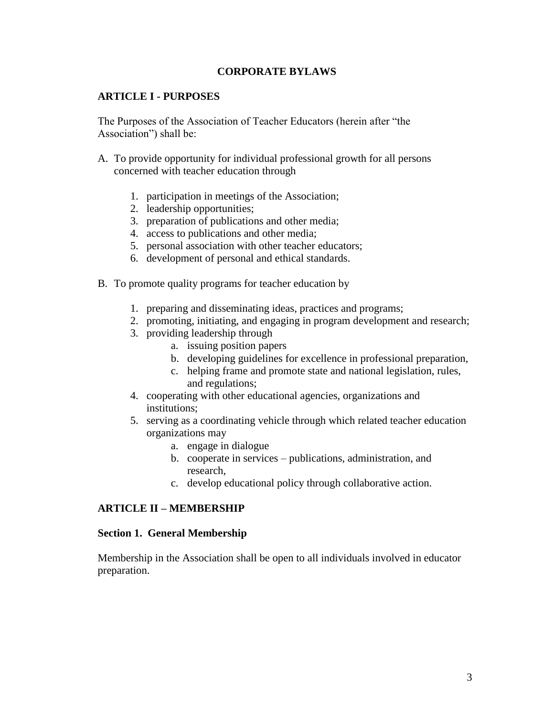## **CORPORATE BYLAWS**

## **ARTICLE I - PURPOSES**

The Purposes of the Association of Teacher Educators (herein after "the Association") shall be:

- A. To provide opportunity for individual professional growth for all persons concerned with teacher education through
	- 1. participation in meetings of the Association;
	- 2. leadership opportunities;
	- 3. preparation of publications and other media;
	- 4. access to publications and other media;
	- 5. personal association with other teacher educators;
	- 6. development of personal and ethical standards.
- B. To promote quality programs for teacher education by
	- 1. preparing and disseminating ideas, practices and programs;
	- 2. promoting, initiating, and engaging in program development and research;
	- 3. providing leadership through
		- a. issuing position papers
		- b. developing guidelines for excellence in professional preparation,
		- c. helping frame and promote state and national legislation, rules, and regulations;
	- 4. cooperating with other educational agencies, organizations and institutions;
	- 5. serving as a coordinating vehicle through which related teacher education organizations may
		- a. engage in dialogue
		- b. cooperate in services publications, administration, and research,
		- c. develop educational policy through collaborative action.

## **ARTICLE II – MEMBERSHIP**

## **Section 1. General Membership**

Membership in the Association shall be open to all individuals involved in educator preparation.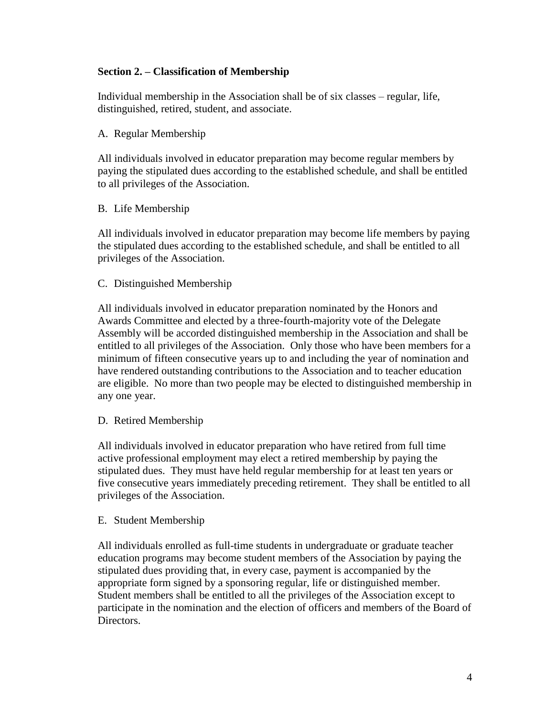## **Section 2. – Classification of Membership**

Individual membership in the Association shall be of six classes – regular, life, distinguished, retired, student, and associate.

## A. Regular Membership

All individuals involved in educator preparation may become regular members by paying the stipulated dues according to the established schedule, and shall be entitled to all privileges of the Association.

## B. Life Membership

All individuals involved in educator preparation may become life members by paying the stipulated dues according to the established schedule, and shall be entitled to all privileges of the Association.

## C. Distinguished Membership

All individuals involved in educator preparation nominated by the Honors and Awards Committee and elected by a three-fourth-majority vote of the Delegate Assembly will be accorded distinguished membership in the Association and shall be entitled to all privileges of the Association. Only those who have been members for a minimum of fifteen consecutive years up to and including the year of nomination and have rendered outstanding contributions to the Association and to teacher education are eligible. No more than two people may be elected to distinguished membership in any one year.

## D. Retired Membership

All individuals involved in educator preparation who have retired from full time active professional employment may elect a retired membership by paying the stipulated dues. They must have held regular membership for at least ten years or five consecutive years immediately preceding retirement. They shall be entitled to all privileges of the Association.

## E. Student Membership

All individuals enrolled as full-time students in undergraduate or graduate teacher education programs may become student members of the Association by paying the stipulated dues providing that, in every case, payment is accompanied by the appropriate form signed by a sponsoring regular, life or distinguished member. Student members shall be entitled to all the privileges of the Association except to participate in the nomination and the election of officers and members of the Board of Directors.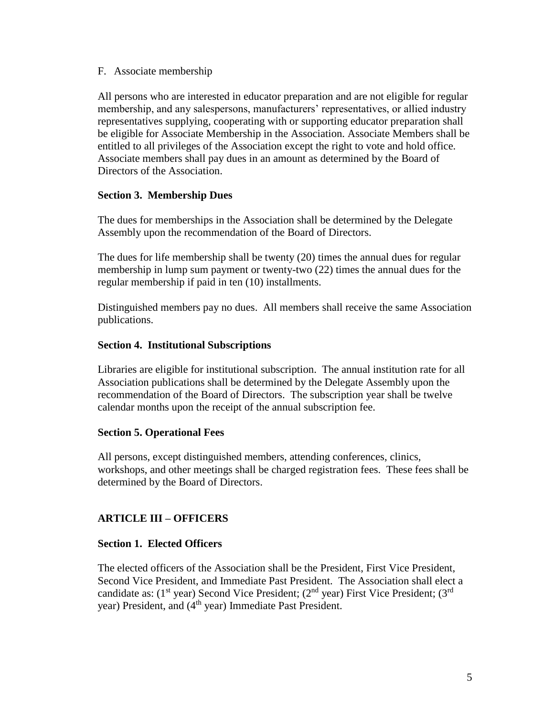#### F. Associate membership

All persons who are interested in educator preparation and are not eligible for regular membership, and any salespersons, manufacturers' representatives, or allied industry representatives supplying, cooperating with or supporting educator preparation shall be eligible for Associate Membership in the Association. Associate Members shall be entitled to all privileges of the Association except the right to vote and hold office. Associate members shall pay dues in an amount as determined by the Board of Directors of the Association.

## **Section 3. Membership Dues**

The dues for memberships in the Association shall be determined by the Delegate Assembly upon the recommendation of the Board of Directors.

The dues for life membership shall be twenty (20) times the annual dues for regular membership in lump sum payment or twenty-two (22) times the annual dues for the regular membership if paid in ten (10) installments.

Distinguished members pay no dues. All members shall receive the same Association publications.

## **Section 4. Institutional Subscriptions**

Libraries are eligible for institutional subscription. The annual institution rate for all Association publications shall be determined by the Delegate Assembly upon the recommendation of the Board of Directors. The subscription year shall be twelve calendar months upon the receipt of the annual subscription fee.

## **Section 5. Operational Fees**

All persons, except distinguished members, attending conferences, clinics, workshops, and other meetings shall be charged registration fees. These fees shall be determined by the Board of Directors.

## **ARTICLE III – OFFICERS**

## **Section 1. Elected Officers**

The elected officers of the Association shall be the President, First Vice President, Second Vice President, and Immediate Past President. The Association shall elect a candidate as:  $(1<sup>st</sup> year)$  Second Vice President;  $(2<sup>nd</sup> year)$  First Vice President;  $(3<sup>rd</sup>$ year) President, and (4<sup>th</sup> year) Immediate Past President.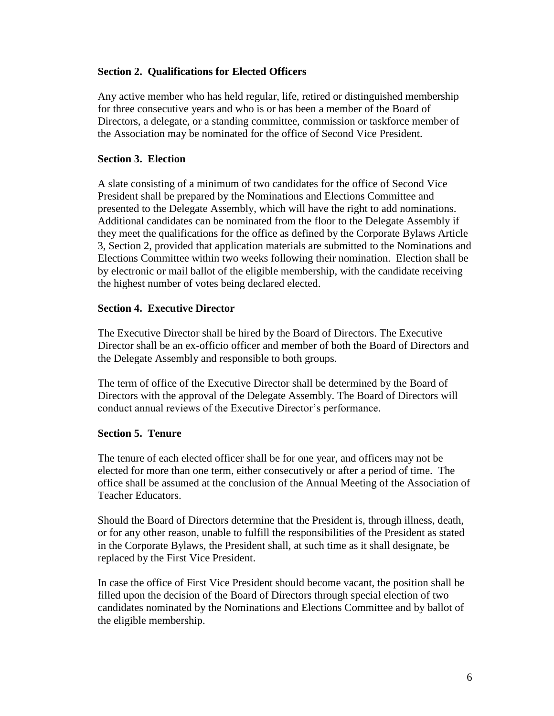## **Section 2. Qualifications for Elected Officers**

Any active member who has held regular, life, retired or distinguished membership for three consecutive years and who is or has been a member of the Board of Directors, a delegate, or a standing committee, commission or taskforce member of the Association may be nominated for the office of Second Vice President.

## **Section 3. Election**

A slate consisting of a minimum of two candidates for the office of Second Vice President shall be prepared by the Nominations and Elections Committee and presented to the Delegate Assembly, which will have the right to add nominations. Additional candidates can be nominated from the floor to the Delegate Assembly if they meet the qualifications for the office as defined by the Corporate Bylaws Article 3, Section 2, provided that application materials are submitted to the Nominations and Elections Committee within two weeks following their nomination. Election shall be by electronic or mail ballot of the eligible membership, with the candidate receiving the highest number of votes being declared elected.

## **Section 4. Executive Director**

The Executive Director shall be hired by the Board of Directors. The Executive Director shall be an ex-officio officer and member of both the Board of Directors and the Delegate Assembly and responsible to both groups.

The term of office of the Executive Director shall be determined by the Board of Directors with the approval of the Delegate Assembly. The Board of Directors will conduct annual reviews of the Executive Director's performance.

## **Section 5. Tenure**

The tenure of each elected officer shall be for one year, and officers may not be elected for more than one term, either consecutively or after a period of time. The office shall be assumed at the conclusion of the Annual Meeting of the Association of Teacher Educators.

Should the Board of Directors determine that the President is, through illness, death, or for any other reason, unable to fulfill the responsibilities of the President as stated in the Corporate Bylaws, the President shall, at such time as it shall designate, be replaced by the First Vice President.

In case the office of First Vice President should become vacant, the position shall be filled upon the decision of the Board of Directors through special election of two candidates nominated by the Nominations and Elections Committee and by ballot of the eligible membership.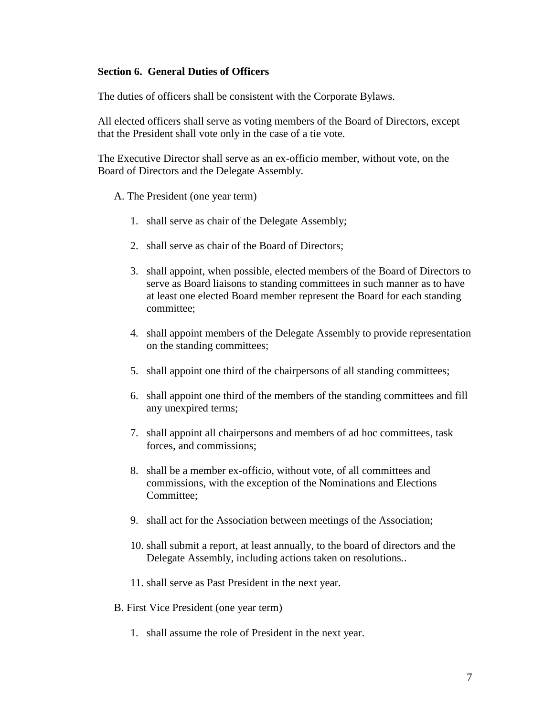## **Section 6. General Duties of Officers**

The duties of officers shall be consistent with the Corporate Bylaws.

All elected officers shall serve as voting members of the Board of Directors, except that the President shall vote only in the case of a tie vote.

The Executive Director shall serve as an ex-officio member, without vote, on the Board of Directors and the Delegate Assembly.

A. The President (one year term)

- 1. shall serve as chair of the Delegate Assembly;
- 2. shall serve as chair of the Board of Directors;
- 3. shall appoint, when possible, elected members of the Board of Directors to serve as Board liaisons to standing committees in such manner as to have at least one elected Board member represent the Board for each standing committee;
- 4. shall appoint members of the Delegate Assembly to provide representation on the standing committees;
- 5. shall appoint one third of the chairpersons of all standing committees;
- 6. shall appoint one third of the members of the standing committees and fill any unexpired terms;
- 7. shall appoint all chairpersons and members of ad hoc committees, task forces, and commissions;
- 8. shall be a member ex-officio, without vote, of all committees and commissions, with the exception of the Nominations and Elections Committee;
- 9. shall act for the Association between meetings of the Association;
- 10. shall submit a report, at least annually, to the board of directors and the Delegate Assembly, including actions taken on resolutions..
- 11. shall serve as Past President in the next year.
- B. First Vice President (one year term)
	- 1. shall assume the role of President in the next year.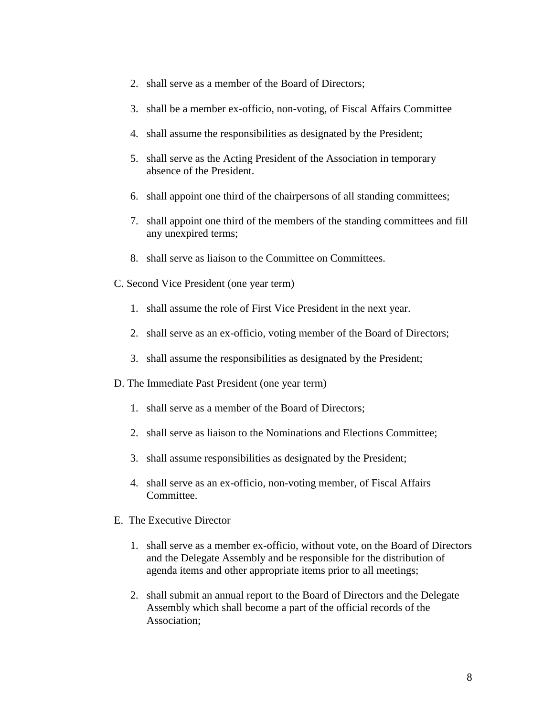- 2. shall serve as a member of the Board of Directors;
- 3. shall be a member ex-officio, non-voting, of Fiscal Affairs Committee
- 4. shall assume the responsibilities as designated by the President;
- 5. shall serve as the Acting President of the Association in temporary absence of the President.
- 6. shall appoint one third of the chairpersons of all standing committees;
- 7. shall appoint one third of the members of the standing committees and fill any unexpired terms;
- 8. shall serve as liaison to the Committee on Committees.
- C. Second Vice President (one year term)
	- 1. shall assume the role of First Vice President in the next year.
	- 2. shall serve as an ex-officio, voting member of the Board of Directors;
	- 3. shall assume the responsibilities as designated by the President;
- D. The Immediate Past President (one year term)
	- 1. shall serve as a member of the Board of Directors;
	- 2. shall serve as liaison to the Nominations and Elections Committee;
	- 3. shall assume responsibilities as designated by the President;
	- 4. shall serve as an ex-officio, non-voting member, of Fiscal Affairs Committee.
- E. The Executive Director
	- 1. shall serve as a member ex-officio, without vote, on the Board of Directors and the Delegate Assembly and be responsible for the distribution of agenda items and other appropriate items prior to all meetings;
	- 2. shall submit an annual report to the Board of Directors and the Delegate Assembly which shall become a part of the official records of the Association;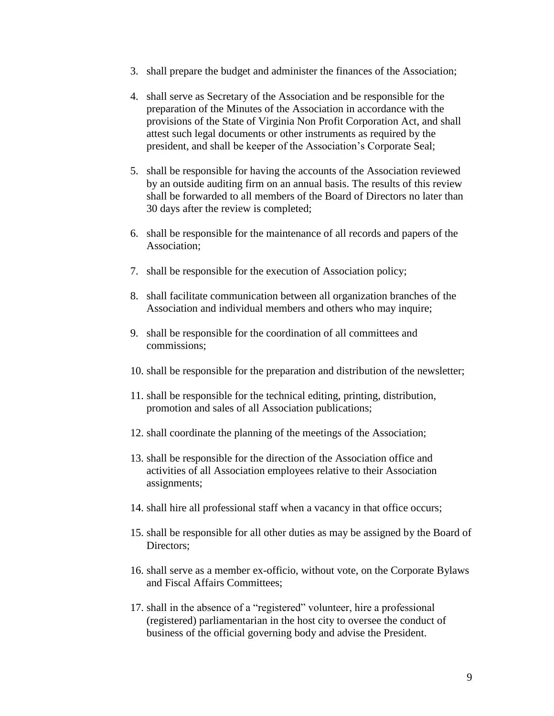- 3. shall prepare the budget and administer the finances of the Association;
- 4. shall serve as Secretary of the Association and be responsible for the preparation of the Minutes of the Association in accordance with the provisions of the State of Virginia Non Profit Corporation Act, and shall attest such legal documents or other instruments as required by the president, and shall be keeper of the Association's Corporate Seal;
- 5. shall be responsible for having the accounts of the Association reviewed by an outside auditing firm on an annual basis. The results of this review shall be forwarded to all members of the Board of Directors no later than 30 days after the review is completed;
- 6. shall be responsible for the maintenance of all records and papers of the Association;
- 7. shall be responsible for the execution of Association policy;
- 8. shall facilitate communication between all organization branches of the Association and individual members and others who may inquire;
- 9. shall be responsible for the coordination of all committees and commissions;
- 10. shall be responsible for the preparation and distribution of the newsletter;
- 11. shall be responsible for the technical editing, printing, distribution, promotion and sales of all Association publications;
- 12. shall coordinate the planning of the meetings of the Association;
- 13. shall be responsible for the direction of the Association office and activities of all Association employees relative to their Association assignments;
- 14. shall hire all professional staff when a vacancy in that office occurs;
- 15. shall be responsible for all other duties as may be assigned by the Board of Directors;
- 16. shall serve as a member ex-officio, without vote, on the Corporate Bylaws and Fiscal Affairs Committees;
- 17. shall in the absence of a "registered" volunteer, hire a professional (registered) parliamentarian in the host city to oversee the conduct of business of the official governing body and advise the President.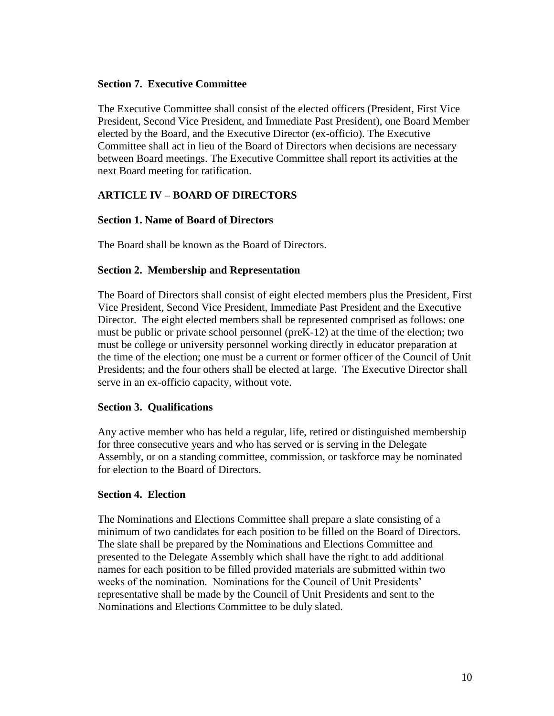## **Section 7. Executive Committee**

The Executive Committee shall consist of the elected officers (President, First Vice President, Second Vice President, and Immediate Past President), one Board Member elected by the Board, and the Executive Director (ex-officio). The Executive Committee shall act in lieu of the Board of Directors when decisions are necessary between Board meetings. The Executive Committee shall report its activities at the next Board meeting for ratification.

## **ARTICLE IV – BOARD OF DIRECTORS**

## **Section 1. Name of Board of Directors**

The Board shall be known as the Board of Directors.

## **Section 2. Membership and Representation**

The Board of Directors shall consist of eight elected members plus the President, First Vice President, Second Vice President, Immediate Past President and the Executive Director. The eight elected members shall be represented comprised as follows: one must be public or private school personnel (preK-12) at the time of the election; two must be college or university personnel working directly in educator preparation at the time of the election; one must be a current or former officer of the Council of Unit Presidents; and the four others shall be elected at large. The Executive Director shall serve in an ex-officio capacity, without vote.

## **Section 3. Qualifications**

Any active member who has held a regular, life, retired or distinguished membership for three consecutive years and who has served or is serving in the Delegate Assembly, or on a standing committee, commission, or taskforce may be nominated for election to the Board of Directors.

## **Section 4. Election**

The Nominations and Elections Committee shall prepare a slate consisting of a minimum of two candidates for each position to be filled on the Board of Directors. The slate shall be prepared by the Nominations and Elections Committee and presented to the Delegate Assembly which shall have the right to add additional names for each position to be filled provided materials are submitted within two weeks of the nomination. Nominations for the Council of Unit Presidents' representative shall be made by the Council of Unit Presidents and sent to the Nominations and Elections Committee to be duly slated.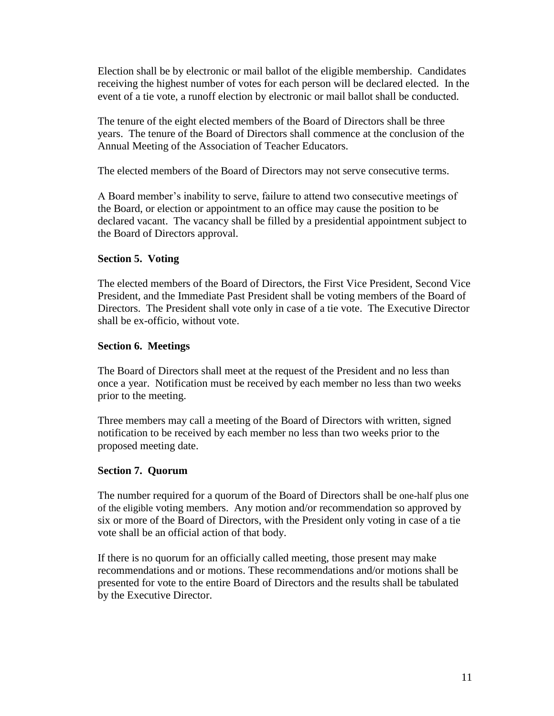Election shall be by electronic or mail ballot of the eligible membership. Candidates receiving the highest number of votes for each person will be declared elected. In the event of a tie vote, a runoff election by electronic or mail ballot shall be conducted.

The tenure of the eight elected members of the Board of Directors shall be three years. The tenure of the Board of Directors shall commence at the conclusion of the Annual Meeting of the Association of Teacher Educators.

The elected members of the Board of Directors may not serve consecutive terms.

A Board member's inability to serve, failure to attend two consecutive meetings of the Board, or election or appointment to an office may cause the position to be declared vacant. The vacancy shall be filled by a presidential appointment subject to the Board of Directors approval.

## **Section 5. Voting**

The elected members of the Board of Directors, the First Vice President, Second Vice President, and the Immediate Past President shall be voting members of the Board of Directors. The President shall vote only in case of a tie vote. The Executive Director shall be ex-officio, without vote.

## **Section 6. Meetings**

The Board of Directors shall meet at the request of the President and no less than once a year. Notification must be received by each member no less than two weeks prior to the meeting.

Three members may call a meeting of the Board of Directors with written, signed notification to be received by each member no less than two weeks prior to the proposed meeting date.

## **Section 7. Quorum**

The number required for a quorum of the Board of Directors shall be one-half plus one of the eligible voting members. Any motion and/or recommendation so approved by six or more of the Board of Directors, with the President only voting in case of a tie vote shall be an official action of that body.

If there is no quorum for an officially called meeting, those present may make recommendations and or motions. These recommendations and/or motions shall be presented for vote to the entire Board of Directors and the results shall be tabulated by the Executive Director.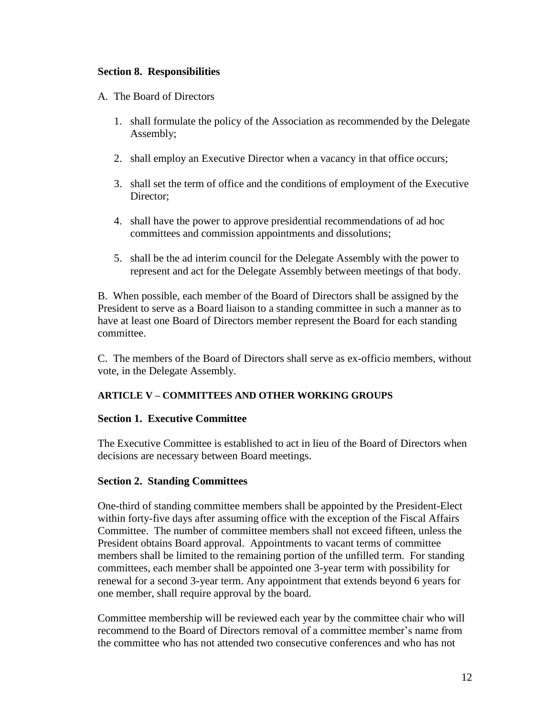## **Section 8. Responsibilities**

- A. The Board of Directors
	- 1. shall formulate the policy of the Association as recommended by the Delegate Assembly;
	- 2. shall employ an Executive Director when a vacancy in that office occurs;
	- 3. shall set the term of office and the conditions of employment of the Executive Director:
	- 4. shall have the power to approve presidential recommendations of ad hoc committees and commission appointments and dissolutions;
	- 5. shall be the ad interim council for the Delegate Assembly with the power to represent and act for the Delegate Assembly between meetings of that body.

B. When possible, each member of the Board of Directors shall be assigned by the President to serve as a Board liaison to a standing committee in such a manner as to have at least one Board of Directors member represent the Board for each standing committee.

C. The members of the Board of Directors shall serve as ex-officio members, without vote, in the Delegate Assembly.

## **ARTICLE V – COMMITTEES AND OTHER WORKING GROUPS**

## **Section 1. Executive Committee**

The Executive Committee is established to act in lieu of the Board of Directors when decisions are necessary between Board meetings.

## **Section 2. Standing Committees**

One-third of standing committee members shall be appointed by the President-Elect within forty-five days after assuming office with the exception of the Fiscal Affairs Committee. The number of committee members shall not exceed fifteen, unless the President obtains Board approval. Appointments to vacant terms of committee members shall be limited to the remaining portion of the unfilled term. For standing committees, each member shall be appointed one 3-year term with possibility for renewal for a second 3-year term. Any appointment that extends beyond 6 years for one member, shall require approval by the board.

Committee membership will be reviewed each year by the committee chair who will recommend to the Board of Directors removal of a committee member's name from the committee who has not attended two consecutive conferences and who has not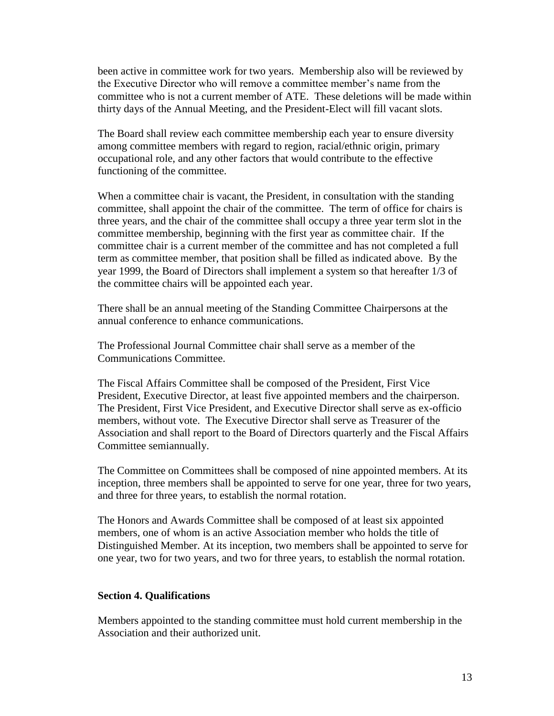been active in committee work for two years. Membership also will be reviewed by the Executive Director who will remove a committee member's name from the committee who is not a current member of ATE. These deletions will be made within thirty days of the Annual Meeting, and the President-Elect will fill vacant slots.

The Board shall review each committee membership each year to ensure diversity among committee members with regard to region, racial/ethnic origin, primary occupational role, and any other factors that would contribute to the effective functioning of the committee.

When a committee chair is vacant, the President, in consultation with the standing committee, shall appoint the chair of the committee. The term of office for chairs is three years, and the chair of the committee shall occupy a three year term slot in the committee membership, beginning with the first year as committee chair. If the committee chair is a current member of the committee and has not completed a full term as committee member, that position shall be filled as indicated above. By the year 1999, the Board of Directors shall implement a system so that hereafter 1/3 of the committee chairs will be appointed each year.

There shall be an annual meeting of the Standing Committee Chairpersons at the annual conference to enhance communications.

The Professional Journal Committee chair shall serve as a member of the Communications Committee.

The Fiscal Affairs Committee shall be composed of the President, First Vice President, Executive Director, at least five appointed members and the chairperson. The President, First Vice President, and Executive Director shall serve as ex-officio members, without vote. The Executive Director shall serve as Treasurer of the Association and shall report to the Board of Directors quarterly and the Fiscal Affairs Committee semiannually.

The Committee on Committees shall be composed of nine appointed members. At its inception, three members shall be appointed to serve for one year, three for two years, and three for three years, to establish the normal rotation.

The Honors and Awards Committee shall be composed of at least six appointed members, one of whom is an active Association member who holds the title of Distinguished Member. At its inception, two members shall be appointed to serve for one year, two for two years, and two for three years, to establish the normal rotation.

#### **Section 4. Qualifications**

Members appointed to the standing committee must hold current membership in the Association and their authorized unit.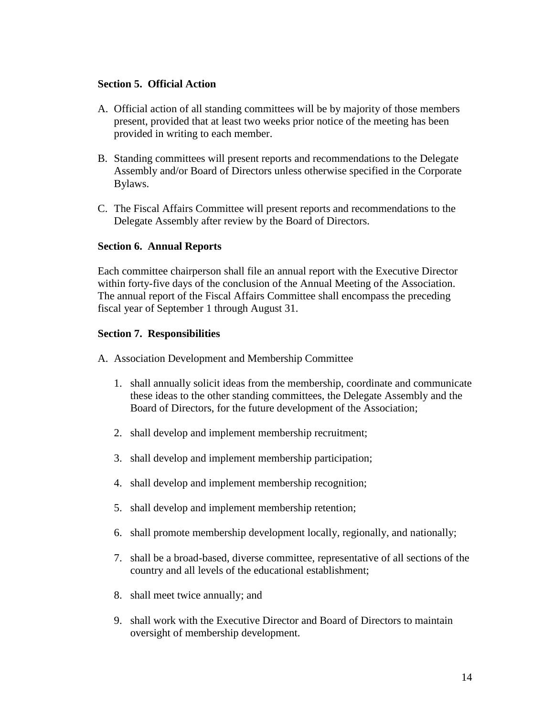#### **Section 5. Official Action**

- A. Official action of all standing committees will be by majority of those members present, provided that at least two weeks prior notice of the meeting has been provided in writing to each member.
- B. Standing committees will present reports and recommendations to the Delegate Assembly and/or Board of Directors unless otherwise specified in the Corporate Bylaws.
- C. The Fiscal Affairs Committee will present reports and recommendations to the Delegate Assembly after review by the Board of Directors.

#### **Section 6. Annual Reports**

Each committee chairperson shall file an annual report with the Executive Director within forty-five days of the conclusion of the Annual Meeting of the Association. The annual report of the Fiscal Affairs Committee shall encompass the preceding fiscal year of September 1 through August 31.

#### **Section 7. Responsibilities**

- A. Association Development and Membership Committee
	- 1. shall annually solicit ideas from the membership, coordinate and communicate these ideas to the other standing committees, the Delegate Assembly and the Board of Directors, for the future development of the Association;
	- 2. shall develop and implement membership recruitment;
	- 3. shall develop and implement membership participation;
	- 4. shall develop and implement membership recognition;
	- 5. shall develop and implement membership retention;
	- 6. shall promote membership development locally, regionally, and nationally;
	- 7. shall be a broad-based, diverse committee, representative of all sections of the country and all levels of the educational establishment;
	- 8. shall meet twice annually; and
	- 9. shall work with the Executive Director and Board of Directors to maintain oversight of membership development.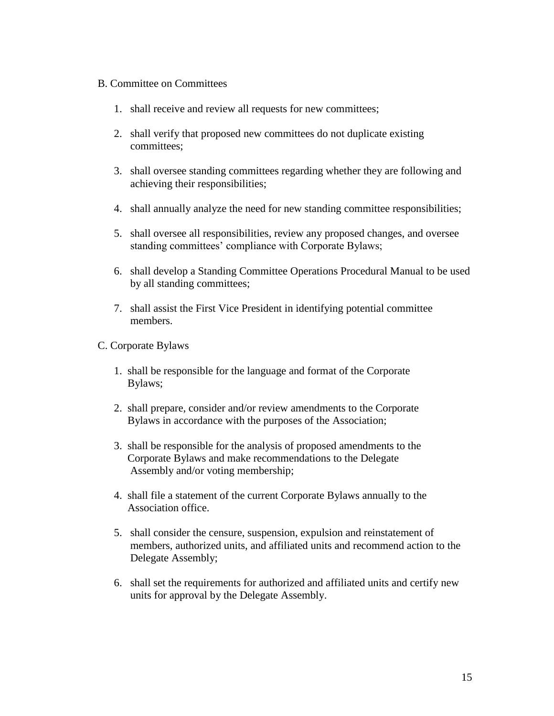#### B. Committee on Committees

- 1. shall receive and review all requests for new committees;
- 2. shall verify that proposed new committees do not duplicate existing committees;
- 3. shall oversee standing committees regarding whether they are following and achieving their responsibilities;
- 4. shall annually analyze the need for new standing committee responsibilities;
- 5. shall oversee all responsibilities, review any proposed changes, and oversee standing committees' compliance with Corporate Bylaws;
- 6. shall develop a Standing Committee Operations Procedural Manual to be used by all standing committees;
- 7. shall assist the First Vice President in identifying potential committee members.

## C. Corporate Bylaws

- 1. shall be responsible for the language and format of the Corporate Bylaws;
- 2. shall prepare, consider and/or review amendments to the Corporate Bylaws in accordance with the purposes of the Association;
- 3. shall be responsible for the analysis of proposed amendments to the Corporate Bylaws and make recommendations to the Delegate Assembly and/or voting membership;
- 4. shall file a statement of the current Corporate Bylaws annually to the Association office.
- 5. shall consider the censure, suspension, expulsion and reinstatement of members, authorized units, and affiliated units and recommend action to the Delegate Assembly;
- 6. shall set the requirements for authorized and affiliated units and certify new units for approval by the Delegate Assembly.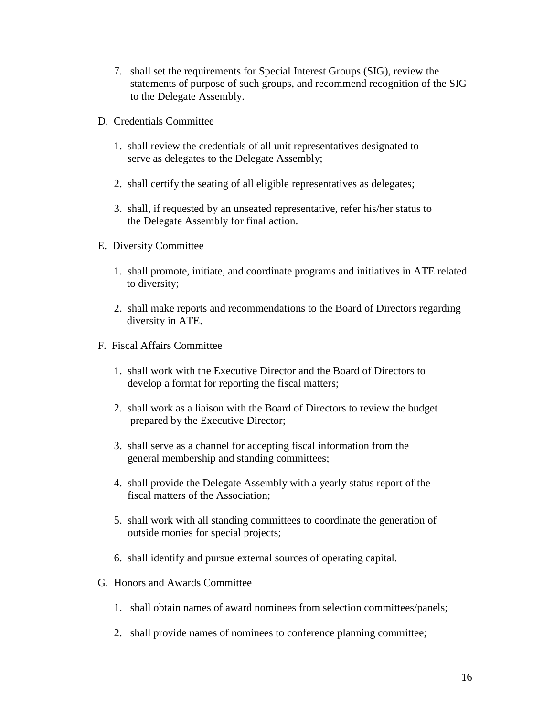- 7. shall set the requirements for Special Interest Groups (SIG), review the statements of purpose of such groups, and recommend recognition of the SIG to the Delegate Assembly.
- D. Credentials Committee
	- 1. shall review the credentials of all unit representatives designated to serve as delegates to the Delegate Assembly;
	- 2. shall certify the seating of all eligible representatives as delegates;
	- 3. shall, if requested by an unseated representative, refer his/her status to the Delegate Assembly for final action.
- E. Diversity Committee
	- 1. shall promote, initiate, and coordinate programs and initiatives in ATE related to diversity;
	- 2. shall make reports and recommendations to the Board of Directors regarding diversity in ATE.
- F. Fiscal Affairs Committee
	- 1. shall work with the Executive Director and the Board of Directors to develop a format for reporting the fiscal matters;
	- 2. shall work as a liaison with the Board of Directors to review the budget prepared by the Executive Director;
	- 3. shall serve as a channel for accepting fiscal information from the general membership and standing committees;
	- 4. shall provide the Delegate Assembly with a yearly status report of the fiscal matters of the Association;
	- 5. shall work with all standing committees to coordinate the generation of outside monies for special projects;
	- 6. shall identify and pursue external sources of operating capital.
- G. Honors and Awards Committee
	- 1. shall obtain names of award nominees from selection committees/panels;
	- 2. shall provide names of nominees to conference planning committee;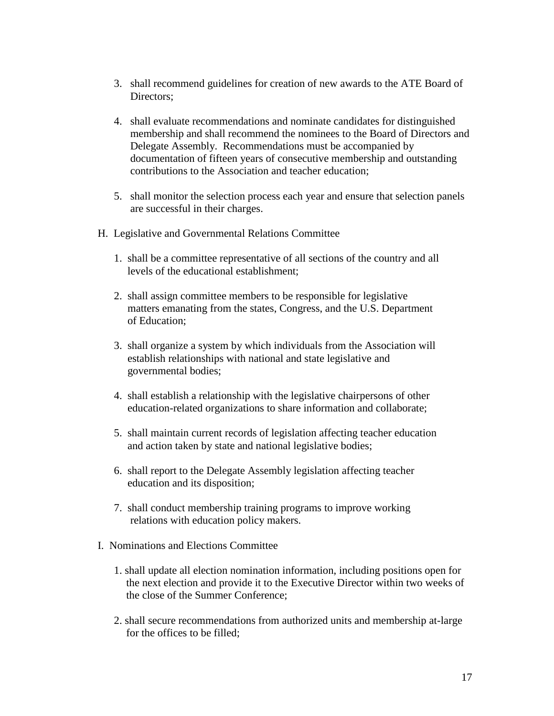- 3. shall recommend guidelines for creation of new awards to the ATE Board of Directors:
- 4. shall evaluate recommendations and nominate candidates for distinguished membership and shall recommend the nominees to the Board of Directors and Delegate Assembly. Recommendations must be accompanied by documentation of fifteen years of consecutive membership and outstanding contributions to the Association and teacher education;
- 5. shall monitor the selection process each year and ensure that selection panels are successful in their charges.
- H. Legislative and Governmental Relations Committee
	- 1. shall be a committee representative of all sections of the country and all levels of the educational establishment;
	- 2. shall assign committee members to be responsible for legislative matters emanating from the states, Congress, and the U.S. Department of Education;
	- 3. shall organize a system by which individuals from the Association will establish relationships with national and state legislative and governmental bodies;
	- 4. shall establish a relationship with the legislative chairpersons of other education-related organizations to share information and collaborate;
	- 5. shall maintain current records of legislation affecting teacher education and action taken by state and national legislative bodies;
	- 6. shall report to the Delegate Assembly legislation affecting teacher education and its disposition;
	- 7. shall conduct membership training programs to improve working relations with education policy makers.
- I. Nominations and Elections Committee
	- 1. shall update all election nomination information, including positions open for the next election and provide it to the Executive Director within two weeks of the close of the Summer Conference;
	- 2. shall secure recommendations from authorized units and membership at-large for the offices to be filled;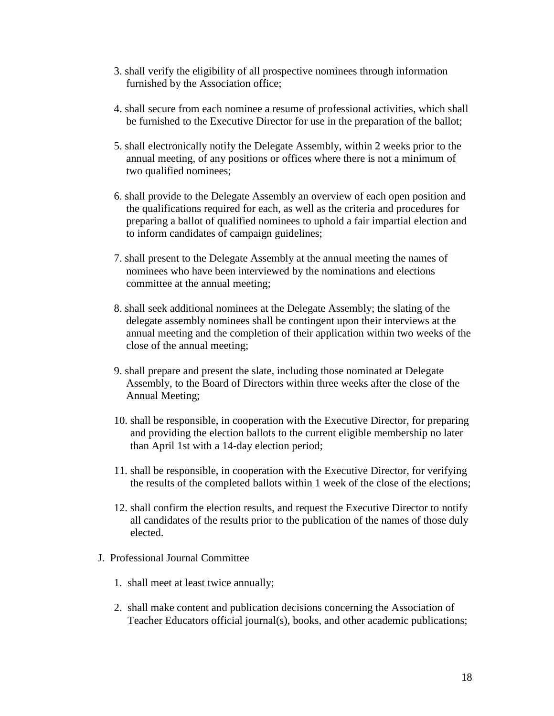- 3. shall verify the eligibility of all prospective nominees through information furnished by the Association office;
- 4. shall secure from each nominee a resume of professional activities, which shall be furnished to the Executive Director for use in the preparation of the ballot;
- 5. shall electronically notify the Delegate Assembly, within 2 weeks prior to the annual meeting, of any positions or offices where there is not a minimum of two qualified nominees;
- 6. shall provide to the Delegate Assembly an overview of each open position and the qualifications required for each, as well as the criteria and procedures for preparing a ballot of qualified nominees to uphold a fair impartial election and to inform candidates of campaign guidelines;
- 7. shall present to the Delegate Assembly at the annual meeting the names of nominees who have been interviewed by the nominations and elections committee at the annual meeting;
- 8. shall seek additional nominees at the Delegate Assembly; the slating of the delegate assembly nominees shall be contingent upon their interviews at the annual meeting and the completion of their application within two weeks of the close of the annual meeting;
- 9. shall prepare and present the slate, including those nominated at Delegate Assembly, to the Board of Directors within three weeks after the close of the Annual Meeting;
- 10. shall be responsible, in cooperation with the Executive Director, for preparing and providing the election ballots to the current eligible membership no later than April 1st with a 14-day election period;
- 11. shall be responsible, in cooperation with the Executive Director, for verifying the results of the completed ballots within 1 week of the close of the elections;
- 12. shall confirm the election results, and request the Executive Director to notify all candidates of the results prior to the publication of the names of those duly elected.
- J. Professional Journal Committee
	- 1. shall meet at least twice annually;
	- 2. shall make content and publication decisions concerning the Association of Teacher Educators official journal(s), books, and other academic publications;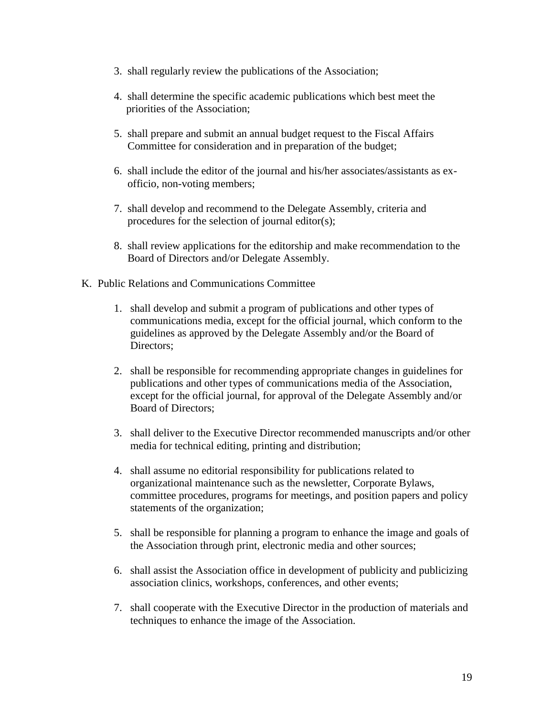- 3. shall regularly review the publications of the Association;
- 4. shall determine the specific academic publications which best meet the priorities of the Association;
- 5. shall prepare and submit an annual budget request to the Fiscal Affairs Committee for consideration and in preparation of the budget;
- 6. shall include the editor of the journal and his/her associates/assistants as ex officio, non-voting members;
- 7. shall develop and recommend to the Delegate Assembly, criteria and procedures for the selection of journal editor(s);
- 8. shall review applications for the editorship and make recommendation to the Board of Directors and/or Delegate Assembly.
- K. Public Relations and Communications Committee
	- 1. shall develop and submit a program of publications and other types of communications media, except for the official journal, which conform to the guidelines as approved by the Delegate Assembly and/or the Board of Directors:
	- 2. shall be responsible for recommending appropriate changes in guidelines for publications and other types of communications media of the Association, except for the official journal, for approval of the Delegate Assembly and/or Board of Directors;
	- 3. shall deliver to the Executive Director recommended manuscripts and/or other media for technical editing, printing and distribution;
	- 4. shall assume no editorial responsibility for publications related to organizational maintenance such as the newsletter, Corporate Bylaws, committee procedures, programs for meetings, and position papers and policy statements of the organization;
	- 5. shall be responsible for planning a program to enhance the image and goals of the Association through print, electronic media and other sources;
	- 6. shall assist the Association office in development of publicity and publicizing association clinics, workshops, conferences, and other events;
	- 7. shall cooperate with the Executive Director in the production of materials and techniques to enhance the image of the Association.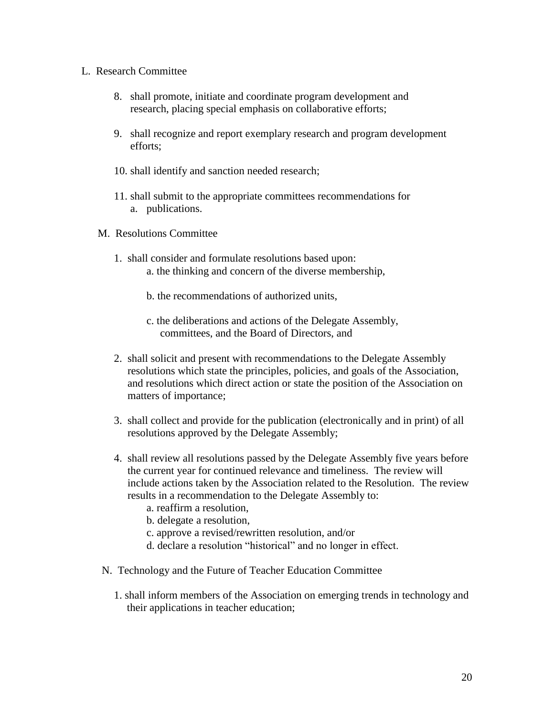#### L. Research Committee

- 8. shall promote, initiate and coordinate program development and research, placing special emphasis on collaborative efforts;
- 9. shall recognize and report exemplary research and program development efforts;
- 10. shall identify and sanction needed research;
- 11. shall submit to the appropriate committees recommendations for a. publications.
- M. Resolutions Committee
	- 1. shall consider and formulate resolutions based upon: a. the thinking and concern of the diverse membership,
		- b. the recommendations of authorized units,
		- c. the deliberations and actions of the Delegate Assembly, committees, and the Board of Directors, and
	- 2. shall solicit and present with recommendations to the Delegate Assembly resolutions which state the principles, policies, and goals of the Association, and resolutions which direct action or state the position of the Association on matters of importance;
	- 3. shall collect and provide for the publication (electronically and in print) of all resolutions approved by the Delegate Assembly;
	- 4. shall review all resolutions passed by the Delegate Assembly five years before the current year for continued relevance and timeliness. The review will include actions taken by the Association related to the Resolution. The review results in a recommendation to the Delegate Assembly to:
		- a. reaffirm a resolution,
		- b. delegate a resolution,
		- c. approve a revised/rewritten resolution, and/or
		- d. declare a resolution "historical" and no longer in effect.
- N. Technology and the Future of Teacher Education Committee
	- 1. shall inform members of the Association on emerging trends in technology and their applications in teacher education;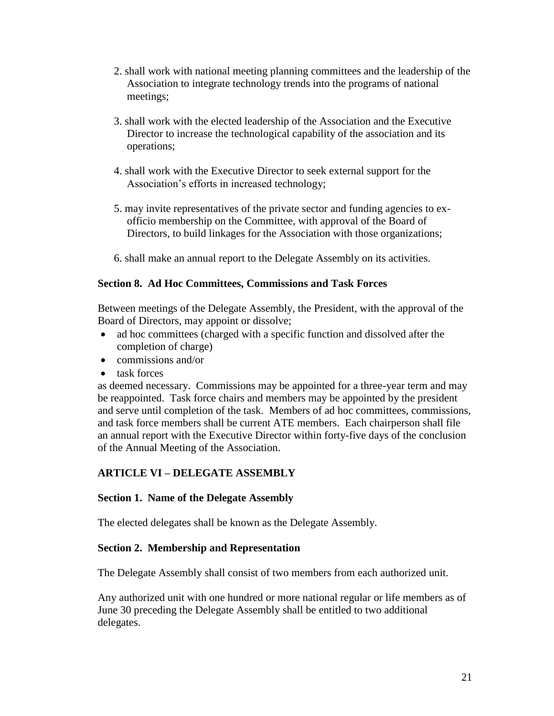- 2. shall work with national meeting planning committees and the leadership of the Association to integrate technology trends into the programs of national meetings;
- 3. shall work with the elected leadership of the Association and the Executive Director to increase the technological capability of the association and its operations;
- 4. shall work with the Executive Director to seek external support for the Association's efforts in increased technology;
- 5. may invite representatives of the private sector and funding agencies to exofficio membership on the Committee, with approval of the Board of Directors, to build linkages for the Association with those organizations;
- 6. shall make an annual report to the Delegate Assembly on its activities.

## **Section 8. Ad Hoc Committees, Commissions and Task Forces**

Between meetings of the Delegate Assembly, the President, with the approval of the Board of Directors, may appoint or dissolve;

- ad hoc committees (charged with a specific function and dissolved after the completion of charge)
- $\bullet$  commissions and/or
- task forces

as deemed necessary. Commissions may be appointed for a three-year term and may be reappointed. Task force chairs and members may be appointed by the president and serve until completion of the task. Members of ad hoc committees, commissions, and task force members shall be current ATE members. Each chairperson shall file an annual report with the Executive Director within forty-five days of the conclusion of the Annual Meeting of the Association.

## **ARTICLE VI – DELEGATE ASSEMBLY**

## **Section 1. Name of the Delegate Assembly**

The elected delegates shall be known as the Delegate Assembly.

## **Section 2. Membership and Representation**

The Delegate Assembly shall consist of two members from each authorized unit.

Any authorized unit with one hundred or more national regular or life members as of June 30 preceding the Delegate Assembly shall be entitled to two additional delegates.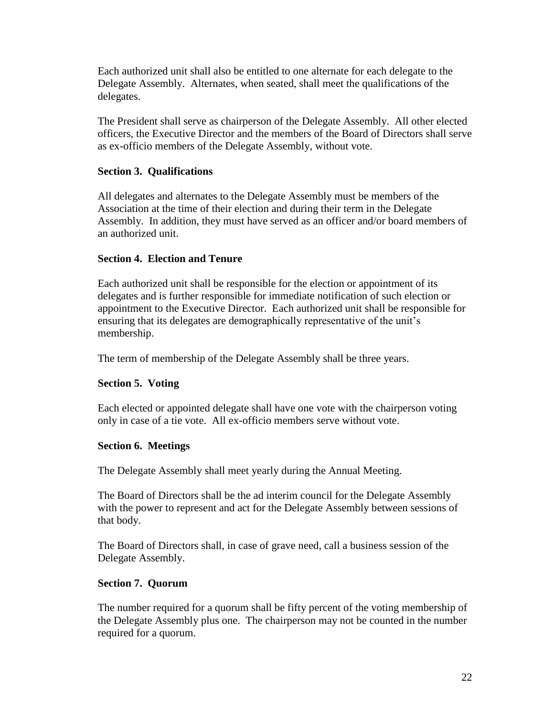Each authorized unit shall also be entitled to one alternate for each delegate to the Delegate Assembly. Alternates, when seated, shall meet the qualifications of the delegates.

The President shall serve as chairperson of the Delegate Assembly. All other elected officers, the Executive Director and the members of the Board of Directors shall serve as ex-officio members of the Delegate Assembly, without vote.

## **Section 3. Qualifications**

All delegates and alternates to the Delegate Assembly must be members of the Association at the time of their election and during their term in the Delegate Assembly. In addition, they must have served as an officer and/or board members of an authorized unit.

## **Section 4. Election and Tenure**

Each authorized unit shall be responsible for the election or appointment of its delegates and is further responsible for immediate notification of such election or appointment to the Executive Director. Each authorized unit shall be responsible for ensuring that its delegates are demographically representative of the unit's membership.

The term of membership of the Delegate Assembly shall be three years.

## **Section 5. Voting**

Each elected or appointed delegate shall have one vote with the chairperson voting only in case of a tie vote. All ex-officio members serve without vote.

## **Section 6. Meetings**

The Delegate Assembly shall meet yearly during the Annual Meeting.

The Board of Directors shall be the ad interim council for the Delegate Assembly with the power to represent and act for the Delegate Assembly between sessions of that body.

The Board of Directors shall, in case of grave need, call a business session of the Delegate Assembly.

## **Section 7. Quorum**

The number required for a quorum shall be fifty percent of the voting membership of the Delegate Assembly plus one. The chairperson may not be counted in the number required for a quorum.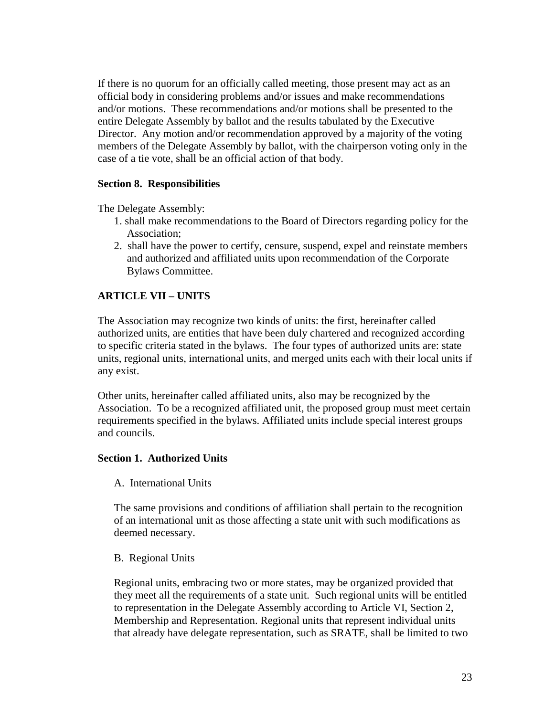If there is no quorum for an officially called meeting, those present may act as an official body in considering problems and/or issues and make recommendations and/or motions. These recommendations and/or motions shall be presented to the entire Delegate Assembly by ballot and the results tabulated by the Executive Director. Any motion and/or recommendation approved by a majority of the voting members of the Delegate Assembly by ballot, with the chairperson voting only in the case of a tie vote, shall be an official action of that body.

## **Section 8. Responsibilities**

The Delegate Assembly:

- 1. shall make recommendations to the Board of Directors regarding policy for the Association;
- 2. shall have the power to certify, censure, suspend, expel and reinstate members and authorized and affiliated units upon recommendation of the Corporate Bylaws Committee.

## **ARTICLE VII – UNITS**

The Association may recognize two kinds of units: the first, hereinafter called authorized units, are entities that have been duly chartered and recognized according to specific criteria stated in the bylaws. The four types of authorized units are: state units, regional units, international units, and merged units each with their local units if any exist.

Other units, hereinafter called affiliated units, also may be recognized by the Association. To be a recognized affiliated unit, the proposed group must meet certain requirements specified in the bylaws. Affiliated units include special interest groups and councils.

#### **Section 1. Authorized Units**

#### A. International Units

The same provisions and conditions of affiliation shall pertain to the recognition of an international unit as those affecting a state unit with such modifications as deemed necessary.

#### B. Regional Units

Regional units, embracing two or more states, may be organized provided that they meet all the requirements of a state unit. Such regional units will be entitled to representation in the Delegate Assembly according to Article VI, Section 2, Membership and Representation. Regional units that represent individual units that already have delegate representation, such as SRATE, shall be limited to two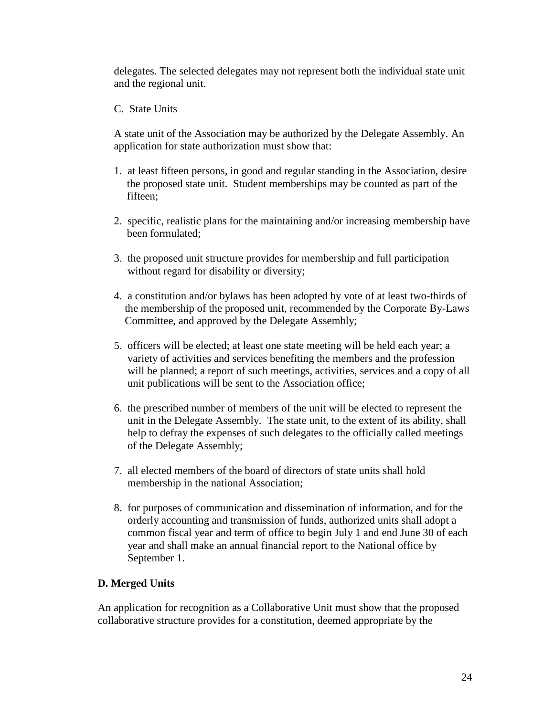delegates. The selected delegates may not represent both the individual state unit and the regional unit.

C. State Units

A state unit of the Association may be authorized by the Delegate Assembly. An application for state authorization must show that:

- 1. at least fifteen persons, in good and regular standing in the Association, desire the proposed state unit. Student memberships may be counted as part of the fifteen;
- 2. specific, realistic plans for the maintaining and/or increasing membership have been formulated;
- 3. the proposed unit structure provides for membership and full participation without regard for disability or diversity;
- 4. a constitution and/or bylaws has been adopted by vote of at least two-thirds of the membership of the proposed unit, recommended by the Corporate By-Laws Committee, and approved by the Delegate Assembly;
- 5. officers will be elected; at least one state meeting will be held each year; a variety of activities and services benefiting the members and the profession will be planned; a report of such meetings, activities, services and a copy of all unit publications will be sent to the Association office;
- 6. the prescribed number of members of the unit will be elected to represent the unit in the Delegate Assembly. The state unit, to the extent of its ability, shall help to defray the expenses of such delegates to the officially called meetings of the Delegate Assembly;
- 7. all elected members of the board of directors of state units shall hold membership in the national Association;
- 8. for purposes of communication and dissemination of information, and for the orderly accounting and transmission of funds, authorized units shall adopt a common fiscal year and term of office to begin July 1 and end June 30 of each year and shall make an annual financial report to the National office by September 1.

## **D. Merged Units**

An application for recognition as a Collaborative Unit must show that the proposed collaborative structure provides for a constitution, deemed appropriate by the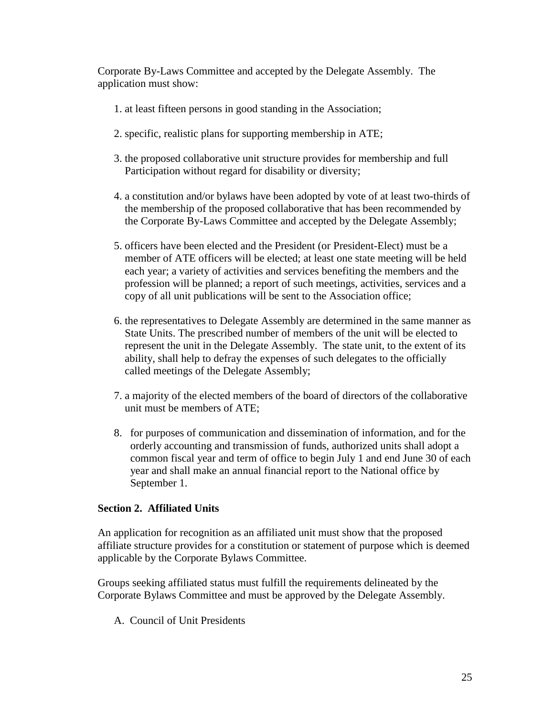Corporate By-Laws Committee and accepted by the Delegate Assembly. The application must show:

- 1. at least fifteen persons in good standing in the Association;
- 2. specific, realistic plans for supporting membership in ATE;
- 3. the proposed collaborative unit structure provides for membership and full Participation without regard for disability or diversity;
- 4. a constitution and/or bylaws have been adopted by vote of at least two-thirds of the membership of the proposed collaborative that has been recommended by the Corporate By-Laws Committee and accepted by the Delegate Assembly;
- 5. officers have been elected and the President (or President-Elect) must be a member of ATE officers will be elected; at least one state meeting will be held each year; a variety of activities and services benefiting the members and the profession will be planned; a report of such meetings, activities, services and a copy of all unit publications will be sent to the Association office;
- 6. the representatives to Delegate Assembly are determined in the same manner as State Units. The prescribed number of members of the unit will be elected to represent the unit in the Delegate Assembly. The state unit, to the extent of its ability, shall help to defray the expenses of such delegates to the officially called meetings of the Delegate Assembly;
- 7. a majority of the elected members of the board of directors of the collaborative unit must be members of ATE;
- 8. for purposes of communication and dissemination of information, and for the orderly accounting and transmission of funds, authorized units shall adopt a common fiscal year and term of office to begin July 1 and end June 30 of each year and shall make an annual financial report to the National office by September 1.

## **Section 2. Affiliated Units**

An application for recognition as an affiliated unit must show that the proposed affiliate structure provides for a constitution or statement of purpose which is deemed applicable by the Corporate Bylaws Committee.

Groups seeking affiliated status must fulfill the requirements delineated by the Corporate Bylaws Committee and must be approved by the Delegate Assembly.

A. Council of Unit Presidents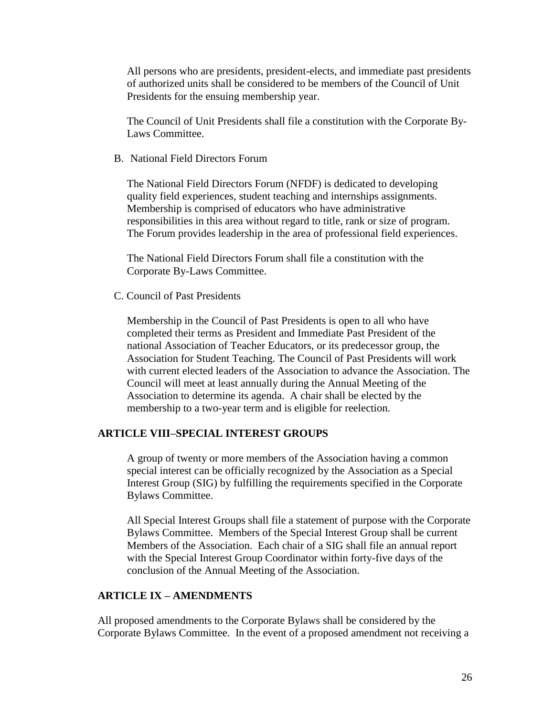All persons who are presidents, president-elects, and immediate past presidents of authorized units shall be considered to be members of the Council of Unit Presidents for the ensuing membership year.

The Council of Unit Presidents shall file a constitution with the Corporate By-Laws Committee.

B. National Field Directors Forum

The National Field Directors Forum (NFDF) is dedicated to developing quality field experiences, student teaching and internships assignments. Membership is comprised of educators who have administrative responsibilities in this area without regard to title, rank or size of program. The Forum provides leadership in the area of professional field experiences.

The National Field Directors Forum shall file a constitution with the Corporate By-Laws Committee.

C. Council of Past Presidents

Membership in the Council of Past Presidents is open to all who have completed their terms as President and Immediate Past President of the national Association of Teacher Educators, or its predecessor group, the Association for Student Teaching. The Council of Past Presidents will work with current elected leaders of the Association to advance the Association. The Council will meet at least annually during the Annual Meeting of the Association to determine its agenda. A chair shall be elected by the membership to a two-year term and is eligible for reelection.

## **ARTICLE VIII–SPECIAL INTEREST GROUPS**

A group of twenty or more members of the Association having a common special interest can be officially recognized by the Association as a Special Interest Group (SIG) by fulfilling the requirements specified in the Corporate Bylaws Committee.

All Special Interest Groups shall file a statement of purpose with the Corporate Bylaws Committee. Members of the Special Interest Group shall be current Members of the Association. Each chair of a SIG shall file an annual report with the Special Interest Group Coordinator within forty-five days of the conclusion of the Annual Meeting of the Association.

## **ARTICLE IX – AMENDMENTS**

All proposed amendments to the Corporate Bylaws shall be considered by the Corporate Bylaws Committee. In the event of a proposed amendment not receiving a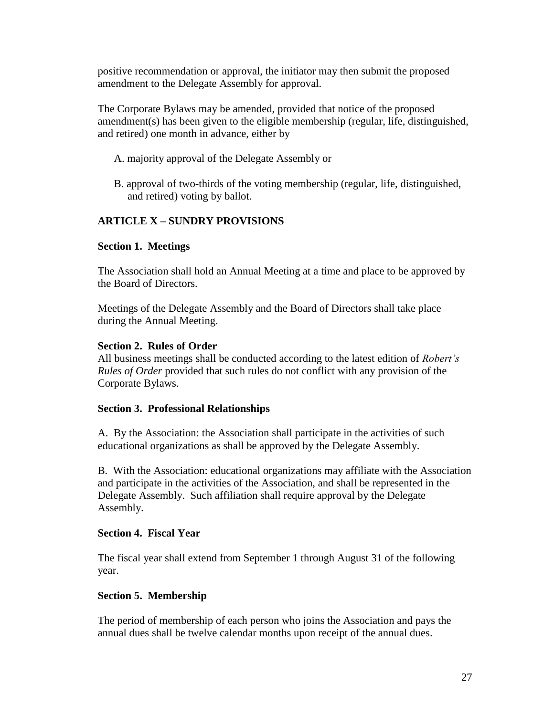positive recommendation or approval, the initiator may then submit the proposed amendment to the Delegate Assembly for approval.

The Corporate Bylaws may be amended, provided that notice of the proposed amendment(s) has been given to the eligible membership (regular, life, distinguished, and retired) one month in advance, either by

- A. majority approval of the Delegate Assembly or
- B. approval of two-thirds of the voting membership (regular, life, distinguished, and retired) voting by ballot.

## **ARTICLE X – SUNDRY PROVISIONS**

## **Section 1. Meetings**

The Association shall hold an Annual Meeting at a time and place to be approved by the Board of Directors.

Meetings of the Delegate Assembly and the Board of Directors shall take place during the Annual Meeting.

## **Section 2. Rules of Order**

All business meetings shall be conducted according to the latest edition of *Robert's Rules of Order* provided that such rules do not conflict with any provision of the Corporate Bylaws.

## **Section 3. Professional Relationships**

A. By the Association: the Association shall participate in the activities of such educational organizations as shall be approved by the Delegate Assembly.

B. With the Association: educational organizations may affiliate with the Association and participate in the activities of the Association, and shall be represented in the Delegate Assembly. Such affiliation shall require approval by the Delegate Assembly.

## **Section 4. Fiscal Year**

The fiscal year shall extend from September 1 through August 31 of the following year.

## **Section 5. Membership**

The period of membership of each person who joins the Association and pays the annual dues shall be twelve calendar months upon receipt of the annual dues.